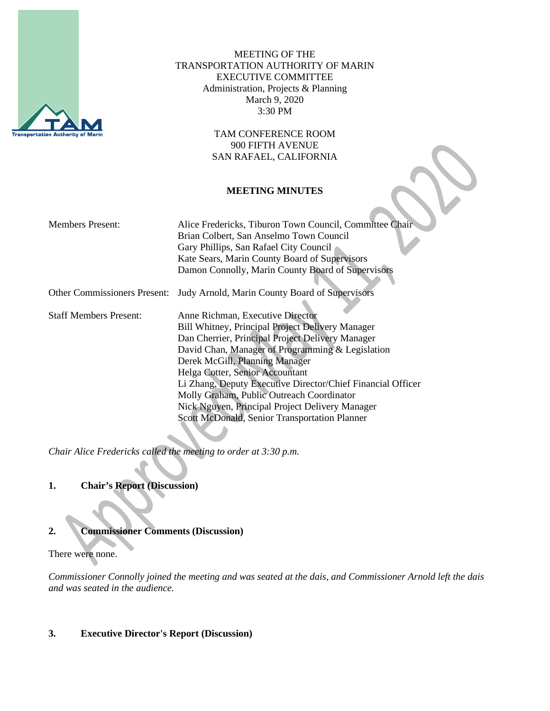

MEETING OF THE TRANSPORTATION AUTHORITY OF MARIN EXECUTIVE COMMITTEE Administration, Projects & Planning March 9, 2020 3:30 PM

> TAM CONFERENCE ROOM 900 FIFTH AVENUE SAN RAFAEL, CALIFORNIA

#### **MEETING MINUTES**

| <b>Members Present:</b>             | Alice Fredericks, Tiburon Town Council, Committee Chair     |
|-------------------------------------|-------------------------------------------------------------|
|                                     | Brian Colbert, San Anselmo Town Council                     |
|                                     | Gary Phillips, San Rafael City Council                      |
|                                     | Kate Sears, Marin County Board of Supervisors               |
|                                     | Damon Connolly, Marin County Board of Supervisors           |
| <b>Other Commissioners Present:</b> | Judy Arnold, Marin County Board of Supervisors              |
|                                     |                                                             |
| <b>Staff Members Present:</b>       | Anne Richman, Executive Director                            |
|                                     | Bill Whitney, Principal Project Delivery Manager            |
|                                     | Dan Cherrier, Principal Project Delivery Manager            |
|                                     | David Chan, Manager of Programming & Legislation            |
|                                     | Derek McGill, Planning Manager                              |
|                                     | Helga Cotter, Senior Accountant                             |
|                                     | Li Zhang, Deputy Executive Director/Chief Financial Officer |
|                                     | Molly Graham, Public Outreach Coordinator                   |
|                                     | Nick Nguyen, Principal Project Delivery Manager             |
|                                     | Scott McDonald, Senior Transportation Planner               |

*Chair Alice Fredericks called the meeting to order at 3:30 p.m.*

## **1. Chair's Report (Discussion)**

# **2. Commissioner Comments (Discussion)**

There were none.

*Commissioner Connolly joined the meeting and was seated at the dais, and Commissioner Arnold left the dais and was seated in the audience.*

#### **3. Executive Director's Report (Discussion)**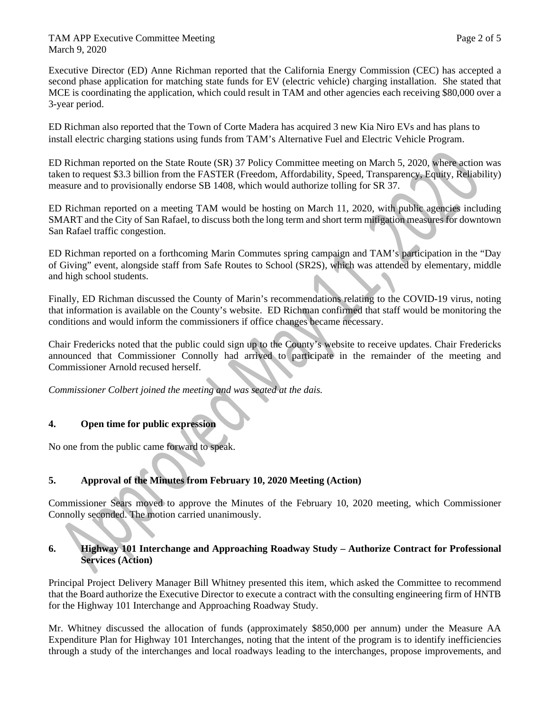TAM APP Executive Committee Meeting Page 2 of 5 March 9, 2020

Executive Director (ED) Anne Richman reported that the California Energy Commission (CEC) has accepted a second phase application for matching state funds for EV (electric vehicle) charging installation. She stated that MCE is coordinating the application, which could result in TAM and other agencies each receiving \$80,000 over a 3-year period.

ED Richman also reported that the Town of Corte Madera has acquired 3 new Kia Niro EVs and has plans to install electric charging stations using funds from TAM's Alternative Fuel and Electric Vehicle Program.

ED Richman reported on the State Route (SR) 37 Policy Committee meeting on March 5, 2020, where action was taken to request \$3.3 billion from the FASTER (Freedom, Affordability, Speed, Transparency, Equity, Reliability) measure and to provisionally endorse SB 1408, which would authorize tolling for SR 37.

ED Richman reported on a meeting TAM would be hosting on March 11, 2020, with public agencies including SMART and the City of San Rafael, to discuss both the long term and short term mitigation measures for downtown San Rafael traffic congestion.

ED Richman reported on a forthcoming Marin Commutes spring campaign and TAM's participation in the "Day of Giving" event, alongside staff from Safe Routes to School (SR2S), which was attended by elementary, middle and high school students.

Finally, ED Richman discussed the County of Marin's recommendations relating to the COVID-19 virus, noting that information is available on the County's website. ED Richman confirmed that staff would be monitoring the conditions and would inform the commissioners if office changes became necessary.

Chair Fredericks noted that the public could sign up to the County's website to receive updates. Chair Fredericks announced that Commissioner Connolly had arrived to participate in the remainder of the meeting and Commissioner Arnold recused herself.

*Commissioner Colbert joined the meeting and was seated at the dais.*

#### **4. Open time for public expression**

No one from the public came forward to speak.

### **5. Approval of the Minutes from February 10, 2020 Meeting (Action)**

Commissioner Sears moved to approve the Minutes of the February 10, 2020 meeting, which Commissioner Connolly seconded. The motion carried unanimously.

#### **6. Highway 101 Interchange and Approaching Roadway Study – Authorize Contract for Professional Services (Action)**

Principal Project Delivery Manager Bill Whitney presented this item, which asked the Committee to recommend that the Board authorize the Executive Director to execute a contract with the consulting engineering firm of HNTB for the Highway 101 Interchange and Approaching Roadway Study.

Mr. Whitney discussed the allocation of funds (approximately \$850,000 per annum) under the Measure AA Expenditure Plan for Highway 101 Interchanges, noting that the intent of the program is to identify inefficiencies through a study of the interchanges and local roadways leading to the interchanges, propose improvements, and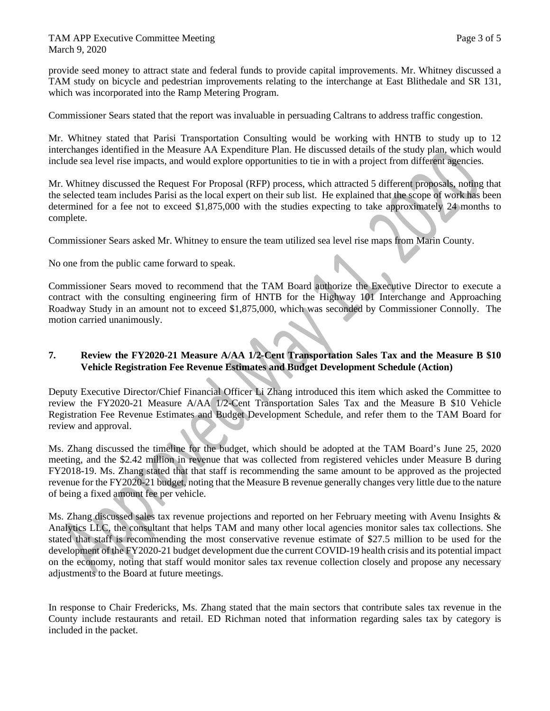provide seed money to attract state and federal funds to provide capital improvements. Mr. Whitney discussed a TAM study on bicycle and pedestrian improvements relating to the interchange at East Blithedale and SR 131, which was incorporated into the Ramp Metering Program.

Commissioner Sears stated that the report was invaluable in persuading Caltrans to address traffic congestion.

Mr. Whitney stated that Parisi Transportation Consulting would be working with HNTB to study up to 12 interchanges identified in the Measure AA Expenditure Plan. He discussed details of the study plan, which would include sea level rise impacts, and would explore opportunities to tie in with a project from different agencies.

Mr. Whitney discussed the Request For Proposal (RFP) process, which attracted 5 different proposals, noting that the selected team includes Parisi as the local expert on their sub list. He explained that the scope of work has been determined for a fee not to exceed \$1,875,000 with the studies expecting to take approximately 24 months to complete.

Commissioner Sears asked Mr. Whitney to ensure the team utilized sea level rise maps from Marin County.

No one from the public came forward to speak.

Commissioner Sears moved to recommend that the TAM Board authorize the Executive Director to execute a contract with the consulting engineering firm of HNTB for the Highway 101 Interchange and Approaching Roadway Study in an amount not to exceed \$1,875,000, which was seconded by Commissioner Connolly. The motion carried unanimously.

#### **7. Review the FY2020-21 Measure A/AA 1/2-Cent Transportation Sales Tax and the Measure B \$10 Vehicle Registration Fee Revenue Estimates and Budget Development Schedule (Action)**

Deputy Executive Director/Chief Financial Officer Li Zhang introduced this item which asked the Committee to review the FY2020-21 Measure A/AA 1/2-Cent Transportation Sales Tax and the Measure B \$10 Vehicle Registration Fee Revenue Estimates and Budget Development Schedule, and refer them to the TAM Board for review and approval.

Ms. Zhang discussed the timeline for the budget, which should be adopted at the TAM Board's June 25, 2020 meeting, and the \$2.42 million in revenue that was collected from registered vehicles under Measure B during FY2018-19. Ms. Zhang stated that that staff is recommending the same amount to be approved as the projected revenue for the FY2020-21 budget, noting that the Measure B revenue generally changes very little due to the nature of being a fixed amount fee per vehicle.

Ms. Zhang discussed sales tax revenue projections and reported on her February meeting with Avenu Insights & Analytics LLC, the consultant that helps TAM and many other local agencies monitor sales tax collections. She stated that staff is recommending the most conservative revenue estimate of \$27.5 million to be used for the development of the FY2020-21 budget development due the current COVID-19 health crisis and its potential impact on the economy, noting that staff would monitor sales tax revenue collection closely and propose any necessary adjustments to the Board at future meetings.

In response to Chair Fredericks, Ms. Zhang stated that the main sectors that contribute sales tax revenue in the County include restaurants and retail. ED Richman noted that information regarding sales tax by category is included in the packet.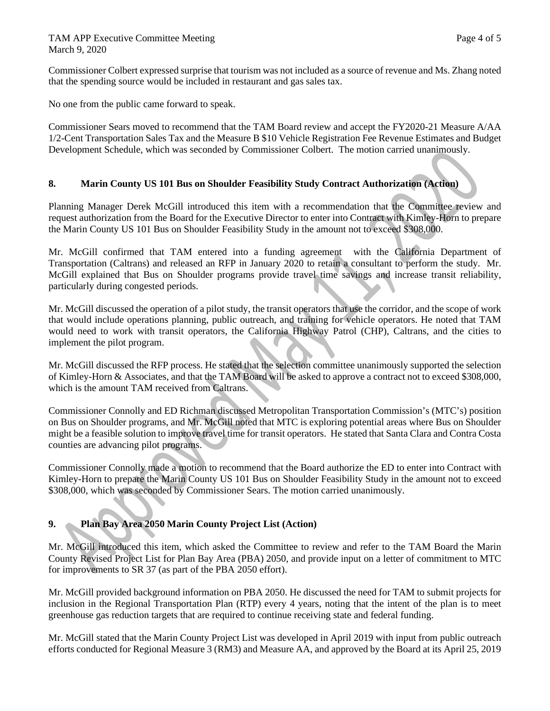Commissioner Colbert expressed surprise that tourism was not included as a source of revenue and Ms. Zhang noted that the spending source would be included in restaurant and gas sales tax.

No one from the public came forward to speak.

Commissioner Sears moved to recommend that the TAM Board review and accept the FY2020-21 Measure A/AA 1/2-Cent Transportation Sales Tax and the Measure B \$10 Vehicle Registration Fee Revenue Estimates and Budget Development Schedule, which was seconded by Commissioner Colbert. The motion carried unanimously.

### **8. Marin County US 101 Bus on Shoulder Feasibility Study Contract Authorization (Action)**

Planning Manager Derek McGill introduced this item with a recommendation that the Committee review and request authorization from the Board for the Executive Director to enter into Contract with Kimley-Horn to prepare the Marin County US 101 Bus on Shoulder Feasibility Study in the amount not to exceed \$308,000.

Mr. McGill confirmed that TAM entered into a funding agreement with the California Department of Transportation (Caltrans) and released an RFP in January 2020 to retain a consultant to perform the study. Mr. McGill explained that Bus on Shoulder programs provide travel time savings and increase transit reliability, particularly during congested periods.

Mr. McGill discussed the operation of a pilot study, the transit operators that use the corridor, and the scope of work that would include operations planning, public outreach, and training for vehicle operators. He noted that TAM would need to work with transit operators, the California Highway Patrol (CHP), Caltrans, and the cities to implement the pilot program.

Mr. McGill discussed the RFP process. He stated that the selection committee unanimously supported the selection of Kimley-Horn & Associates, and that the TAM Board will be asked to approve a contract not to exceed \$308,000, which is the amount TAM received from Caltrans.

Commissioner Connolly and ED Richman discussed Metropolitan Transportation Commission's (MTC's) position on Bus on Shoulder programs, and Mr. McGill noted that MTC is exploring potential areas where Bus on Shoulder might be a feasible solution to improve travel time for transit operators. He stated that Santa Clara and Contra Costa counties are advancing pilot programs.

Commissioner Connolly made a motion to recommend that the Board authorize the ED to enter into Contract with Kimley-Horn to prepare the Marin County US 101 Bus on Shoulder Feasibility Study in the amount not to exceed \$308,000, which was seconded by Commissioner Sears. The motion carried unanimously.

### **9. Plan Bay Area 2050 Marin County Project List (Action)**

Mr. McGill introduced this item, which asked the Committee to review and refer to the TAM Board the Marin County Revised Project List for Plan Bay Area (PBA) 2050, and provide input on a letter of commitment to MTC for improvements to SR 37 (as part of the PBA 2050 effort).

Mr. McGill provided background information on PBA 2050. He discussed the need for TAM to submit projects for inclusion in the Regional Transportation Plan (RTP) every 4 years, noting that the intent of the plan is to meet greenhouse gas reduction targets that are required to continue receiving state and federal funding.

Mr. McGill stated that the Marin County Project List was developed in April 2019 with input from public outreach efforts conducted for Regional Measure 3 (RM3) and Measure AA, and approved by the Board at its April 25, 2019